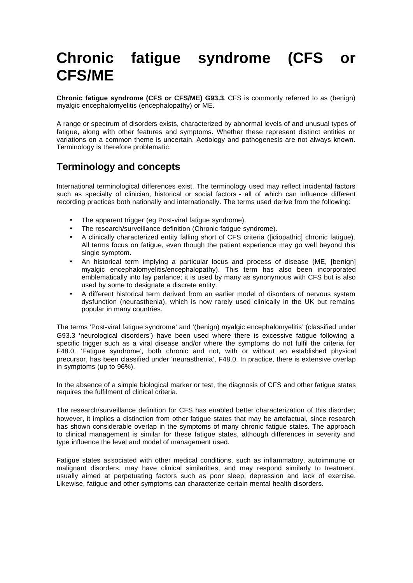# **Chronic fatigue syndrome (CFS or CFS/ME**

**Chronic fatigue syndrome (CFS or CFS/ME) G93.3**. CFS is commonly referred to as (benign) myalgic encephalomyelitis (encephalopathy) or ME.

A range or spectrum of disorders exists, characterized by abnormal levels of and unusual types of fatigue, along with other features and symptoms. Whether these represent distinct entities or variations on a common theme is uncertain. Aetiology and pathogenesis are not always known. Terminology is therefore problematic.

# **Terminology and concepts**

International terminological differences exist. The terminology used may reflect incidental factors such as specialty of clinician, historical or social factors - all of which can influence different recording practices both nationally and internationally. The terms used derive from the following:

- The apparent trigger (eg Post-viral fatigue syndrome).
- The research/surveillance definition (Chronic fatique syndrome).
- A clinically characterized entity falling short of CFS criteria ([idiopathic] chronic fatigue). All terms focus on fatigue, even though the patient experience may go well beyond this single symptom.
- An historical term implying a particular locus and process of disease (ME, [benign] myalgic encephalomyelitis/encephalopathy). This term has also been incorporated emblematically into lay parlance; it is used by many as synonymous with CFS but is also used by some to designate a discrete entity.
- A different historical term derived from an earlier model of disorders of nervous system dysfunction (neurasthenia), which is now rarely used clinically in the UK but remains popular in many countries.

The terms 'Post-viral fatigue syndrome' and '(benign) myalgic encephalomyelitis' (classified under G93.3 'neurological disorders') have been used where there is excessive fatigue following a specific trigger such as a viral disease and/or where the symptoms do not fulfil the criteria for F48.0. 'Fatigue syndrome', both chronic and not, with or without an established physical precursor, has been classified under 'neurasthenia', F48.0. In practice, there is extensive overlap in symptoms (up to 96%).

In the absence of a simple biological marker or test, the diagnosis of CFS and other fatigue states requires the fulfilment of clinical criteria.

The research/surveillance definition for CFS has enabled better characterization of this disorder; however, it implies a distinction from other fatigue states that may be artefactual, since research has shown considerable overlap in the symptoms of many chronic fatigue states. The approach to clinical management is similar for these fatigue states, although differences in severity and type influence the level and model of management used.

Fatigue states associated with other medical conditions, such as inflammatory, autoimmune or malignant disorders, may have clinical similarities, and may respond similarly to treatment, usually aimed at perpetuating factors such as poor sleep, depression and lack of exercise. Likewise, fatigue and other symptoms can characterize certain mental health disorders.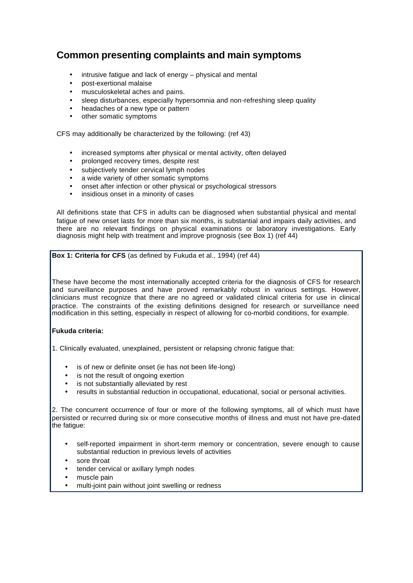# **Common presenting complaints and main symptoms**

- intrusive fatigue and lack of energy physical and mental
- post-exertional malaise
- musculoskeletal aches and pains.
- sleep disturbances, especially hypersomnia and non-refreshing sleep quality
- headaches of a new type or pattern
- other somatic symptoms

CFS may additionally be characterized by the following: (ref 43)

- increased symptoms after physical or mental activity, often delayed
- prolonged recovery times, despite rest
- subjectively tender cervical lymph nodes
- a wide variety of other somatic symptoms
- onset after infection or other physical or psychological stressors
- insidious onset in a minority of cases

All definitions state that CFS in adults can be diagnosed when substantial physical and mental fatigue of new onset lasts for more than six months, is substantial and impairs daily activities, and there are no relevant findings on physical examinations or laboratory investigations. Early diagnosis might help with treatment and improve prognosis (see Box 1) (ref 44)

**Box 1: Criteria for CFS** (as defined by Fukuda et al., 1994) (ref 44)

These have become the most internationally accepted criteria for the diagnosis of CFS for research and surveillance purposes and have proved remarkably robust in various settings. However, clinicians must recognize that there are no agreed or validated clinical criteria for use in clinical practice. The constraints of the existing definitions designed for research or surveillance need modification in this setting, especially in respect of allowing for co-morbid conditions, for example.

#### **Fukuda criteria:**

- 1. Clinically evaluated, unexplained, persistent or relapsing chronic fatigue that:
	- is of new or definite onset (ie has not been life-long)
	- is not the result of ongoing exertion
	- is not substantially alleviated by rest
	- results in substantial reduction in occupational, educational, social or personal activities.

2. The concurrent occurrence of four or more of the following symptoms, all of which must have persisted or recurred during six or more consecutive months of illness and must not have pre-dated the fatigue:

- self-reported impairment in short-term memory or concentration, severe enough to cause substantial reduction in previous levels of activities
- sore throat
- tender cervical or axillary lymph nodes
- muscle pain
- multi-joint pain without joint swelling or redness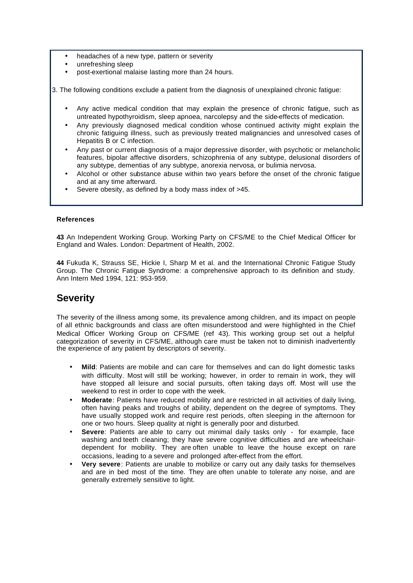- headaches of a new type, pattern or severity
- unrefreshing sleep
- post-exertional malaise lasting more than 24 hours.

3. The following conditions exclude a patient from the diagnosis of unexplained chronic fatigue:

- Any active medical condition that may explain the presence of chronic fatigue, such as untreated hypothyroidism, sleep apnoea, narcolepsy and the side-effects of medication.
- Any previously diagnosed medical condition whose continued activity might explain the chronic fatiguing illness, such as previously treated malignancies and unresolved cases of Hepatitis B or C infection.
- Any past or current diagnosis of a major depressive disorder, with psychotic or melancholic features, bipolar affective disorders, schizophrenia of any subtype, delusional disorders of any subtype, dementias of any subtype, anorexia nervosa, or bulimia nervosa.
- Alcohol or other substance abuse within two years before the onset of the chronic fatigue and at any time afterward.
- Severe obesity, as defined by a body mass index of >45.

#### **References**

**43** An Independent Working Group. Working Party on CFS/ME to the Chief Medical Officer for England and Wales. London: Department of Health, 2002.

**44** Fukuda K, Strauss SE, Hickie I, Sharp M et al. and the International Chronic Fatigue Study Group. The Chronic Fatigue Syndrome: a comprehensive approach to its definition and study. Ann Intern Med 1994, 121: 953-959.

### **Severity**

The severity of the illness among some, its prevalence among children, and its impact on people of all ethnic backgrounds and class are often misunderstood and were highlighted in the Chief Medical Officer Working Group on CFS/ME (ref 43). This working group set out a helpful categorization of severity in CFS/ME, although care must be taken not to diminish inadvertently the experience of any patient by descriptors of severity.

- **Mild**: Patients are mobile and can care for themselves and can do light domestic tasks with difficulty. Most will still be working; however, in order to remain in work, they will have stopped all leisure and social pursuits, often taking days off. Most will use the weekend to rest in order to cope with the week.
- **Moderate**: Patients have reduced mobility and are restricted in all activities of daily living, often having peaks and troughs of ability, dependent on the degree of symptoms. They have usually stopped work and require rest periods, often sleeping in the afternoon for one or two hours. Sleep quality at night is generally poor and disturbed.
- **Severe**: Patients are able to carry out minimal daily tasks only for example, face washing and teeth cleaning; they have severe cognitive difficulties and are wheelchairdependent for mobility. They are often unable to leave the house except on rare occasions, leading to a severe and prolonged after-effect from the effort.
- **Very severe**: Patients are unable to mobilize or carry out any daily tasks for themselves and are in bed most of the time. They are often unable to tolerate any noise, and are generally extremely sensitive to light.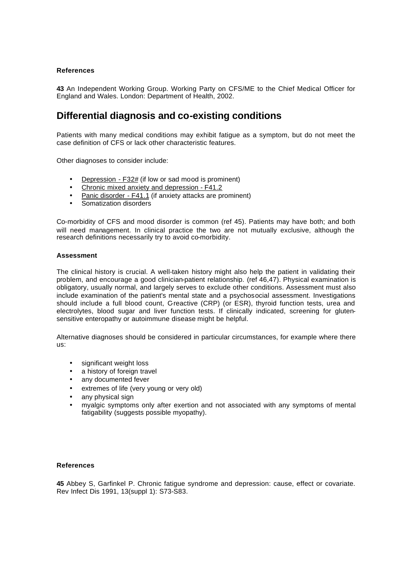#### **References**

**43** An Independent Working Group. Working Party on CFS/ME to the Chief Medical Officer for England and Wales. London: Department of Health, 2002.

### **Differential diagnosis and co-existing conditions**

Patients with many medical conditions may exhibit fatigue as a symptom, but do not meet the case definition of CFS or lack other characteristic features.

Other diagnoses to consider include:

- Depression  $F32#$  (if low or sad mood is prominent)
- Chronic mixed anxiety and depression F41.2
- Panic disorder F41.1 (if anxiety attacks are prominent)
- Somatization disorders

Co-morbidity of CFS and mood disorder is common (ref 45). Patients may have both; and both will need management. In clinical practice the two are not mutually exclusive, although the research definitions necessarily try to avoid co-morbidity.

#### **Assessment**

The clinical history is crucial. A well-taken history might also help the patient in validating their problem, and encourage a good clinician-patient relationship. (ref 46,47). Physical examination is obligatory, usually normal, and largely serves to exclude other conditions. Assessment must also include examination of the patient's mental state and a psychosocial assessment. Investigations should include a full blood count, Greactive (CRP) (or ESR), thyroid function tests, urea and electrolytes, blood sugar and liver function tests. If clinically indicated, screening for glutensensitive enteropathy or autoimmune disease might be helpful.

Alternative diagnoses should be considered in particular circumstances, for example where there us:

- significant weight loss
- a history of foreign travel
- any documented fever
- extremes of life (very young or very old)
- any physical sign
- myalgic symptoms only after exertion and not associated with any symptoms of mental fatigability (suggests possible myopathy).

#### **References**

**45** Abbey S, Garfinkel P. Chronic fatigue syndrome and depression: cause, effect or covariate. Rev Infect Dis 1991, 13(suppl 1): S73-S83.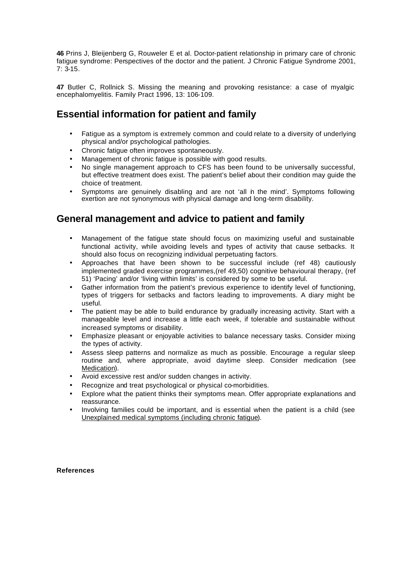**46** Prins J, Bleijenberg G, Rouweler E et al. Doctor-patient relationship in primary care of chronic fatigue syndrome: Perspectives of the doctor and the patient. J Chronic Fatigue Syndrome 2001, 7: 3-15.

**47** Butler C, Rollnick S. Missing the meaning and provoking resistance: a case of myalgic encephalomyelitis. Family Pract 1996, 13: 106-109.

# **Essential information for patient and family**

- Fatigue as a symptom is extremely common and could relate to a diversity of underlying physical and/or psychological pathologies.
- Chronic fatigue often improves spontaneously.
- Management of chronic fatigue is possible with good results.
- No single management approach to CFS has been found to be universally successful, but effective treatment does exist. The patient's belief about their condition may guide the choice of treatment.
- Symptoms are genuinely disabling and are not 'all in the mind'. Symptoms following exertion are not synonymous with physical damage and long-term disability.

## **General management and advice to patient and family**

- Management of the fatigue state should focus on maximizing useful and sustainable functional activity, while avoiding levels and types of activity that cause setbacks. It should also focus on recognizing individual perpetuating factors.
- Approaches that have been shown to be successful include (ref 48) cautiously implemented graded exercise programmes,(ref 49,50) cognitive behavioural therapy, (ref 51) 'Pacing' and/or 'living within limits' is considered by some to be useful.
- Gather information from the patient's previous experience to identify level of functioning, types of triggers for setbacks and factors leading to improvements. A diary might be useful.
- The patient may be able to build endurance by gradually increasing activity. Start with a manageable level and increase a little each week, if tolerable and sustainable without increased symptoms or disability.
- Emphasize pleasant or enjoyable activities to balance necessary tasks. Consider mixing the types of activity.
- Assess sleep patterns and normalize as much as possible. Encourage a regular sleep routine and, where appropriate, avoid daytime sleep. Consider medication (see Medication).
- Avoid excessive rest and/or sudden changes in activity.
- Recognize and treat psychological or physical co-morbidities.
- Explore what the patient thinks their symptoms mean. Offer appropriate explanations and reassurance.
- Involving families could be important, and is essential when the patient is a child (see Unexplained medical symptoms (including chronic fatigue).

**References**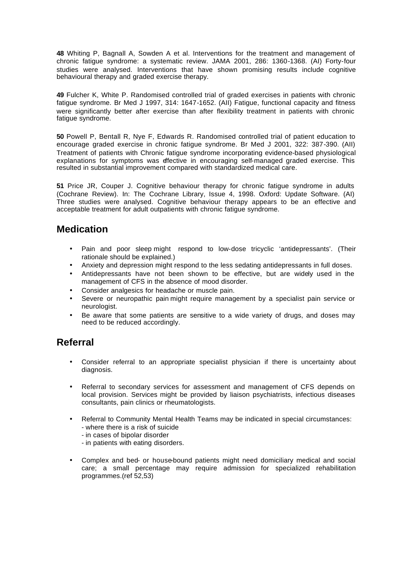**48** Whiting P, Bagnall A, Sowden A et al. Interventions for the treatment and management of chronic fatigue syndrome: a systematic review. JAMA 2001, 286: 1360-1368. (AI) Forty-four studies were analysed. Interventions that have shown promising results include cognitive behavioural therapy and graded exercise therapy.

**49** Fulcher K, White P. Randomised controlled trial of graded exercises in patients with chronic fatigue syndrome. Br Med J 1997, 314: 1647-1652. (AII) Fatigue, functional capacity and fitness were significantly better after exercise than after flexibility treatment in patients with chronic fatigue syndrome.

**50** Powell P, Bentall R, Nye F, Edwards R. Randomised controlled trial of patient education to encourage graded exercise in chronic fatigue syndrome. Br Med J 2001, 322: 387-390. (AII) Treatment of patients with Chronic fatigue syndrome incorporating evidence-based physiological explanations for symptoms was effective in encouraging self-managed graded exercise. This resulted in substantial improvement compared with standardized medical care.

**51** Price JR, Couper J. Cognitive behaviour therapy for chronic fatigue syndrome in adults (Cochrane Review). In: The Cochrane Library, Issue 4, 1998. Oxford: Update Software. (AI) Three studies were analysed. Cognitive behaviour therapy appears to be an effective and acceptable treatment for adult outpatients with chronic fatigue syndrome.

### **Medication**

- Pain and poor sleep might respond to low-dose tricyclic 'antidepressants'. (Their rationale should be explained.)
- Anxiety and depression might respond to the less sedating antidepressants in full doses.
- Antidepressants have not been shown to be effective, but are widely used in the management of CFS in the absence of mood disorder.
- Consider analgesics for headache or muscle pain.
- Severe or neuropathic pain might require management by a specialist pain service or neurologist.
- Be aware that some patients are sensitive to a wide variety of drugs, and doses may need to be reduced accordingly.

### **Referral**

- Consider referral to an appropriate specialist physician if there is uncertainty about diagnosis.
- Referral to secondary services for assessment and management of CFS depends on local provision. Services might be provided by liaison psychiatrists, infectious diseases consultants, pain clinics or rheumatologists.
- Referral to Community Mental Health Teams may be indicated in special circumstances:
	- where there is a risk of suicide
	- in cases of bipolar disorder
	- in patients with eating disorders.
- Complex and bed- or house-bound patients might need domiciliary medical and social care; a small percentage may require admission for specialized rehabilitation programmes.(ref 52,53)